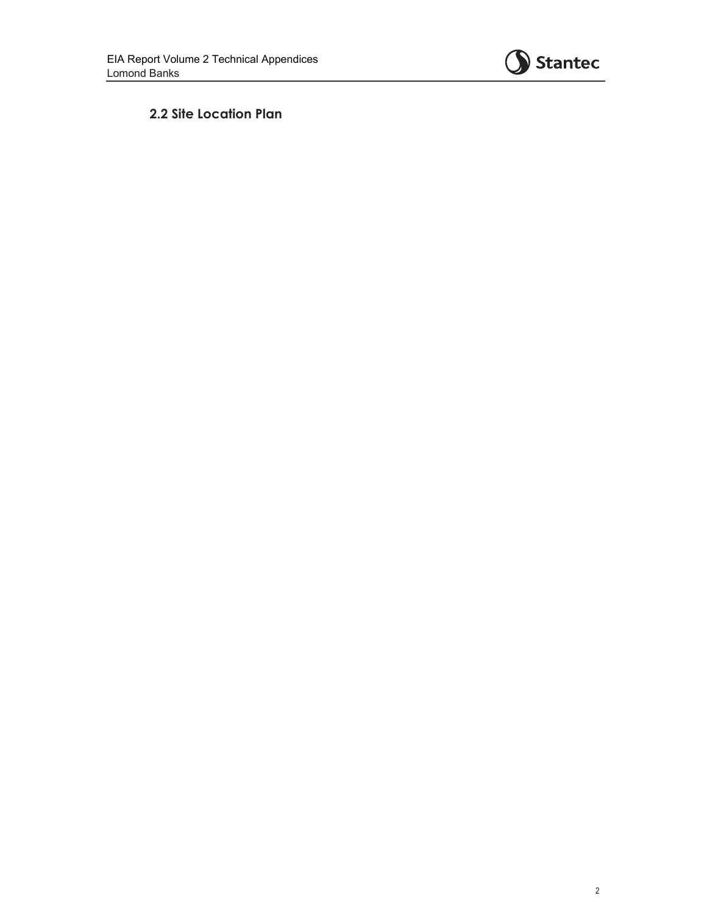

 **2.2 Site Location Plan**